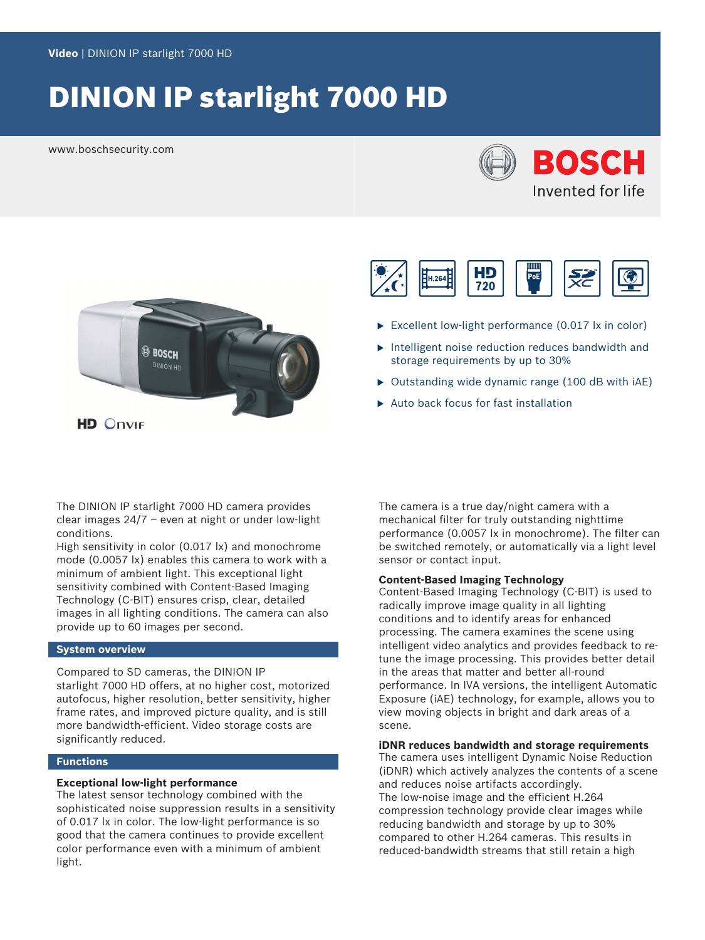# DINION IP starlight 7000 HD

www.boschsecurity.com





**HD Onvir** 



- Excellent low-light performance  $(0.017 \text{ lx in color})$
- $\triangleright$  Intelligent noise reduction reduces bandwidth and storage requirements by up to 30%
- $\triangleright$  Outstanding wide dynamic range (100 dB with iAE)
- Auto back focus for fast installation

The DINION IP starlight 7000 HD camera provides clear images 24/7 – even at night or under low-light conditions.

High sensitivity in color (0.017 lx) and monochrome mode (0.0057 lx) enables this camera to work with a minimum of ambient light. This exceptional light sensitivity combined with Content-Based Imaging Technology (C-BIT) ensures crisp, clear, detailed images in all lighting conditions. The camera can also provide up to 60 images per second.

## **System overview**

Compared to SD cameras, the DINION IP starlight 7000 HD offers, at no higher cost, motorized autofocus, higher resolution, better sensitivity, higher frame rates, and improved picture quality, and is still more bandwidth-efficient. Video storage costs are significantly reduced.

## **Functions**

## **Exceptional low-light performance**

The latest sensor technology combined with the sophisticated noise suppression results in a sensitivity of 0.017 lx in color. The low-light performance is so good that the camera continues to provide excellent color performance even with a minimum of ambient light.

The camera is a true day/night camera with a mechanical filter for truly outstanding nighttime performance (0.0057 lx in monochrome). The filter can be switched remotely, or automatically via a light level sensor or contact input.

## **Content-Based Imaging Technology**

Content-Based Imaging Technology (C-BIT) is used to radically improve image quality in all lighting conditions and to identify areas for enhanced processing. The camera examines the scene using intelligent video analytics and provides feedback to retune the image processing. This provides better detail in the areas that matter and better all-round performance. In IVA versions, the intelligent Automatic Exposure (iAE) technology, for example, allows you to view moving objects in bright and dark areas of a scene.

## **iDNR reduces bandwidth and storage requirements**

The camera uses intelligent Dynamic Noise Reduction (iDNR) which actively analyzes the contents of a scene and reduces noise artifacts accordingly. The low-noise image and the efficient H.264 compression technology provide clear images while reducing bandwidth and storage by up to 30% compared to other H.264 cameras. This results in reduced-bandwidth streams that still retain a high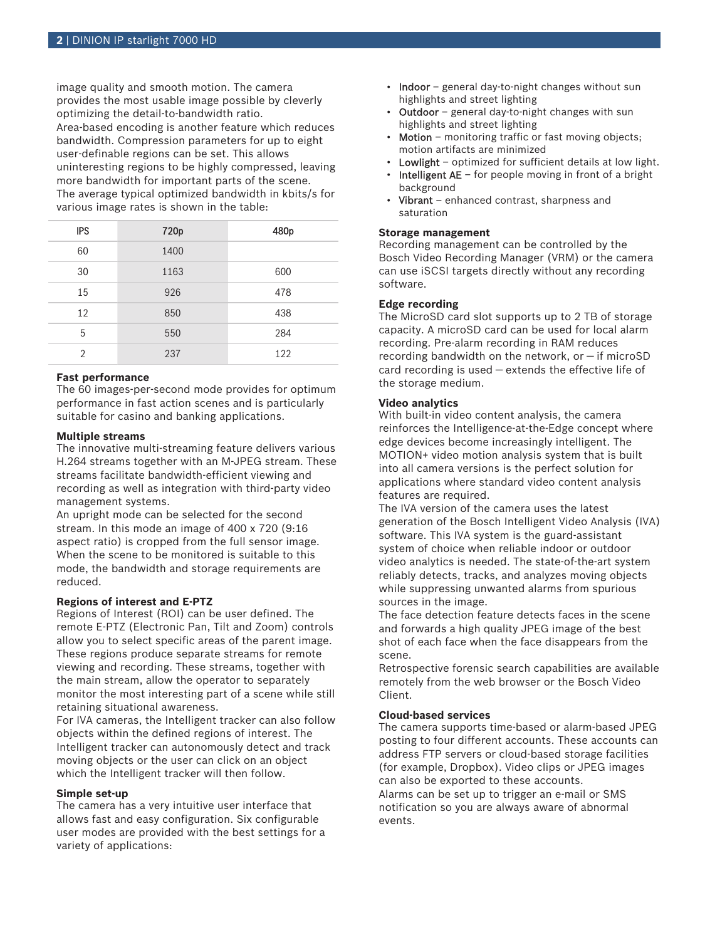image quality and smooth motion. The camera provides the most usable image possible by cleverly optimizing the detail-to-bandwidth ratio. Area-based encoding is another feature which reduces bandwidth. Compression parameters for up to eight user-definable regions can be set. This allows uninteresting regions to be highly compressed, leaving more bandwidth for important parts of the scene. The average typical optimized bandwidth in kbits/s for various image rates is shown in the table:

| <b>IPS</b>     | 720p | 480p |
|----------------|------|------|
| 60             | 1400 |      |
| 30             | 1163 | 600  |
| 15             | 926  | 478  |
| 12             | 850  | 438  |
| 5              | 550  | 284  |
| $\mathfrak{D}$ | 237  | 122  |

## **Fast performance**

The 60 images-per-second mode provides for optimum performance in fast action scenes and is particularly suitable for casino and banking applications.

## **Multiple streams**

The innovative multi-streaming feature delivers various H.264 streams together with an M‑JPEG stream. These streams facilitate bandwidth-efficient viewing and recording as well as integration with third-party video management systems.

An upright mode can be selected for the second stream. In this mode an image of 400 x 720 (9:16 aspect ratio) is cropped from the full sensor image. When the scene to be monitored is suitable to this mode, the bandwidth and storage requirements are reduced.

## **Regions of interest and E-PTZ**

Regions of Interest (ROI) can be user defined. The remote E-PTZ (Electronic Pan, Tilt and Zoom) controls allow you to select specific areas of the parent image. These regions produce separate streams for remote viewing and recording. These streams, together with the main stream, allow the operator to separately monitor the most interesting part of a scene while still retaining situational awareness.

For IVA cameras, the Intelligent tracker can also follow objects within the defined regions of interest. The Intelligent tracker can autonomously detect and track moving objects or the user can click on an object which the Intelligent tracker will then follow.

## **Simple set-up**

The camera has a very intuitive user interface that allows fast and easy configuration. Six configurable user modes are provided with the best settings for a variety of applications:

- Indoor general day-to-night changes without sun highlights and street lighting
- Outdoor general day-to-night changes with sun highlights and street lighting
- **Motion** monitoring traffic or fast moving objects; motion artifacts are minimized
- **Lowlight** optimized for sufficient details at low light.
- **Intelligent AE** for people moving in front of a bright background
- Vibrant enhanced contrast, sharpness and saturation

## **Storage management**

Recording management can be controlled by the Bosch Video Recording Manager (VRM) or the camera can use iSCSI targets directly without any recording software.

## **Edge recording**

The MicroSD card slot supports up to 2 TB of storage capacity. A microSD card can be used for local alarm recording. Pre-alarm recording in RAM reduces recording bandwidth on the network, or  $-$  if microSD card recording is used — extends the effective life of the storage medium.

## **Video analytics**

With built-in video content analysis, the camera reinforces the Intelligence-at-the-Edge concept where edge devices become increasingly intelligent. The MOTION+ video motion analysis system that is built into all camera versions is the perfect solution for applications where standard video content analysis features are required.

The IVA version of the camera uses the latest generation of the Bosch Intelligent Video Analysis (IVA) software. This IVA system is the guard-assistant system of choice when reliable indoor or outdoor video analytics is needed. The state-of-the-art system reliably detects, tracks, and analyzes moving objects while suppressing unwanted alarms from spurious sources in the image.

The face detection feature detects faces in the scene and forwards a high quality JPEG image of the best shot of each face when the face disappears from the scene.

Retrospective forensic search capabilities are available remotely from the web browser or the Bosch Video Client.

## **Cloud-based services**

The camera supports time-based or alarm-based JPEG posting to four different accounts. These accounts can address FTP servers or cloud-based storage facilities (for example, Dropbox). Video clips or JPEG images can also be exported to these accounts. Alarms can be set up to trigger an e-mail or SMS notification so you are always aware of abnormal events.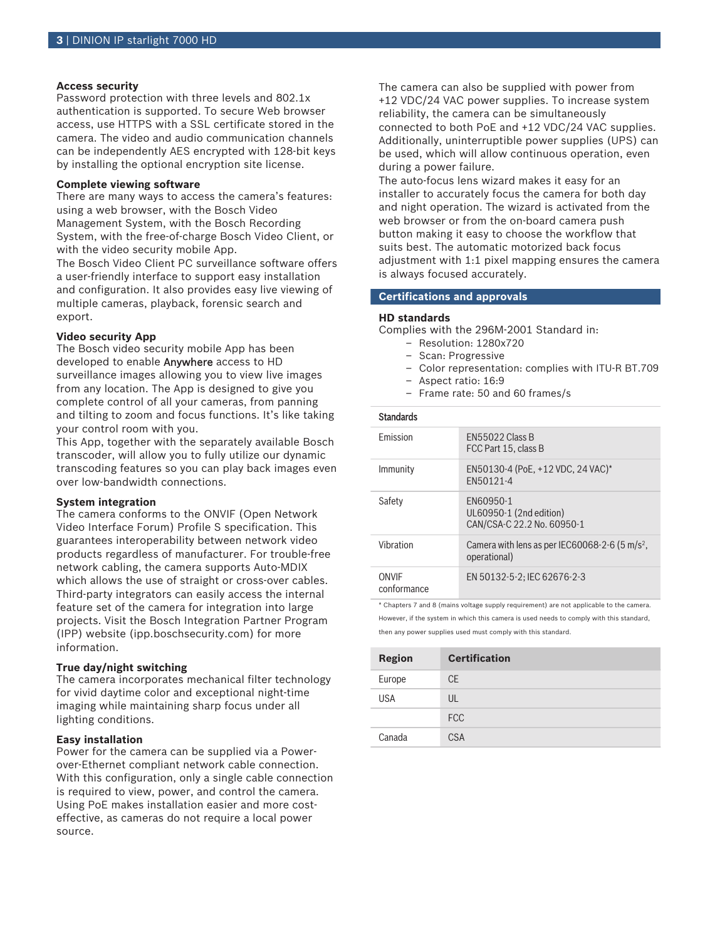## **Access security**

Password protection with three levels and 802.1x authentication is supported. To secure Web browser access, use HTTPS with a SSL certificate stored in the camera. The video and audio communication channels can be independently AES encrypted with 128-bit keys by installing the optional encryption site license.

## **Complete viewing software**

There are many ways to access the camera's features: using a web browser, with the Bosch Video Management System, with the Bosch Recording System, with the free-of-charge Bosch Video Client, or with the video security mobile App.

The Bosch Video Client PC surveillance software offers a user-friendly interface to support easy installation and configuration. It also provides easy live viewing of multiple cameras, playback, forensic search and export.

## **Video security App**

The Bosch video security mobile App has been developed to enable Anywhere access to HD surveillance images allowing you to view live images from any location. The App is designed to give you complete control of all your cameras, from panning and tilting to zoom and focus functions. It's like taking your control room with you.

This App, together with the separately available Bosch transcoder, will allow you to fully utilize our dynamic transcoding features so you can play back images even over low-bandwidth connections.

### **System integration**

The camera conforms to the ONVIF (Open Network Video Interface Forum) Profile S specification. This guarantees interoperability between network video products regardless of manufacturer. For trouble-free network cabling, the camera supports Auto-MDIX which allows the use of straight or cross-over cables. Third-party integrators can easily access the internal feature set of the camera for integration into large projects. Visit the Bosch Integration Partner Program (IPP) website (ipp.boschsecurity.com) for more information.

## **True day/night switching**

The camera incorporates mechanical filter technology for vivid daytime color and exceptional night-time imaging while maintaining sharp focus under all lighting conditions.

## **Easy installation**

Power for the camera can be supplied via a Powerover-Ethernet compliant network cable connection. With this configuration, only a single cable connection is required to view, power, and control the camera. Using PoE makes installation easier and more costeffective, as cameras do not require a local power source.

The camera can also be supplied with power from +12 VDC/24 VAC power supplies. To increase system reliability, the camera can be simultaneously connected to both PoE and +12 VDC/24 VAC supplies. Additionally, uninterruptible power supplies (UPS) can be used, which will allow continuous operation, even during a power failure.

The auto-focus lens wizard makes it easy for an installer to accurately focus the camera for both day and night operation. The wizard is activated from the web browser or from the on-board camera push button making it easy to choose the workflow that suits best. The automatic motorized back focus adjustment with 1:1 pixel mapping ensures the camera is always focused accurately.

## **Certifications and approvals**

## **HD standards**

Complies with the 296M-2001 Standard in:

- Resolution: 1280x720
- Scan: Progressive
- Color representation: complies with ITU-R BT.709
- Aspect ratio: 16:9
- Frame rate: 50 and 60 frames/s

## **Standards**

| <b>Emission</b>      | <b>FN55022 Class B</b><br>FCC Part 15, class B                             |
|----------------------|----------------------------------------------------------------------------|
| Immunity             | EN50130-4 (PoE, +12 VDC, 24 VAC)*<br>FN50121-4                             |
| Safety               | FN60950-1<br>UL60950-1 (2nd edition)<br>CAN/CSA-C 22.2 No. 60950-1         |
| Vibration            | Camera with lens as per IEC60068-2-6 (5 m/s <sup>2</sup> ,<br>operational) |
| ONVIF<br>conformance | EN 50132-5-2: IEC 62676-2-3                                                |

\* Chapters 7 and 8 (mains voltage supply requirement) are not applicable to the camera. However, if the system in which this camera is used needs to comply with this standard, then any power supplies used must comply with this standard.

| <b>Region</b> | <b>Certification</b> |
|---------------|----------------------|
| Europe        | <b>CE</b>            |
| <b>USA</b>    | UL                   |
|               | <b>FCC</b>           |
| Canada        | <b>CSA</b>           |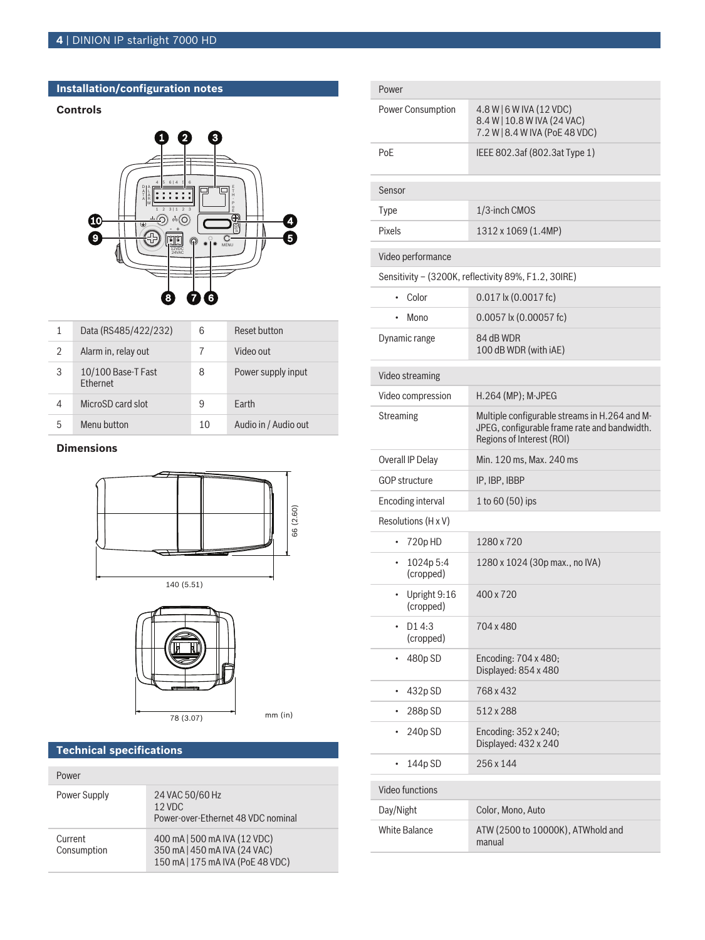## **Installation/configuration notes**

## **Controls**



| 1 | Data (RS485/422/232)                  | 6  | Reset button         |
|---|---------------------------------------|----|----------------------|
| 2 | Alarm in, relay out                   |    | Video out            |
| 3 | 10/100 Base-T Fast<br><b>Fthernet</b> | 8  | Power supply input   |
| 4 | MicroSD card slot                     | 9  | Farth                |
| 5 | Menu button                           | 10 | Audio in / Audio out |

## **Dimensions**







 $mm$  (in)

## **Technical specifications**

| Power                  |                                                                                                  |
|------------------------|--------------------------------------------------------------------------------------------------|
| Power Supply           | 24 VAC 50/60 Hz<br>$12$ VDC<br>Power-over-Ethernet 48 VDC nominal                                |
| Current<br>Consumption | 400 mA   500 mA IVA (12 VDC)<br>350 mA   450 mA IVA (24 VAC)<br>150 mA   175 mA IVA (PoE 48 VDC) |

| Power                                                |                                                                                                                            |
|------------------------------------------------------|----------------------------------------------------------------------------------------------------------------------------|
| <b>Power Consumption</b>                             | 4.8 W   6 W IVA (12 VDC)<br>8.4 W   10.8 W IVA (24 VAC)<br>7.2 W   8.4 W IVA (PoE 48 VDC)                                  |
| PoE                                                  | IEEE 802.3af (802.3at Type 1)                                                                                              |
| Sensor                                               |                                                                                                                            |
| Type                                                 | 1/3-inch CMOS                                                                                                              |
| Pixels                                               | 1312 x 1069 (1.4MP)                                                                                                        |
| Video performance                                    |                                                                                                                            |
| Sensitivity - (3200K, reflectivity 89%, F1.2, 30IRE) |                                                                                                                            |
| Color<br>٠                                           | $0.017$ lx $(0.0017$ fc)                                                                                                   |
| Mono                                                 | $0.0057$ k $(0.00057$ fc)                                                                                                  |
| Dynamic range                                        | 84 dB WDR<br>100 dB WDR (with iAE)                                                                                         |
| Video streaming                                      |                                                                                                                            |
| Video compression                                    | H.264 (MP); M-JPEG                                                                                                         |
| <b>Streaming</b>                                     | Multiple configurable streams in H.264 and M-<br>JPEG, configurable frame rate and bandwidth.<br>Regions of Interest (ROI) |
| Overall IP Delay                                     | Min. 120 ms, Max. 240 ms                                                                                                   |
| <b>GOP structure</b>                                 | IP, IBP, IBBP                                                                                                              |
| <b>Encoding interval</b>                             | 1 to 60 (50) ips                                                                                                           |
| Resolutions (H x V)                                  |                                                                                                                            |
| 720p HD<br>٠                                         | 1280 x 720                                                                                                                 |
| 1024p 5:4<br>٠<br>(cropped)                          | 1280 x 1024 (30p max., no IVA)                                                                                             |
| Upright 9:16<br>(cropped)                            | 400 x 720                                                                                                                  |
| D14:3<br>(cropped)                                   | 704 x 480                                                                                                                  |
| 480p SD<br>٠                                         | Encoding: 704 x 480;<br>Displayed: 854 x 480                                                                               |
| 432p SD<br>$\bullet$                                 | 768 x 432                                                                                                                  |
| 288p SD<br>٠                                         | 512 x 288                                                                                                                  |
| 240p SD                                              | Encoding: 352 x 240;<br>Displayed: 432 x 240                                                                               |
| 144p SD                                              | 256 x 144                                                                                                                  |
| Video functions                                      |                                                                                                                            |
| Day/Night                                            | Color, Mono, Auto                                                                                                          |
| <b>White Balance</b>                                 | ATW (2500 to 10000K), ATWhold and<br>manual                                                                                |
|                                                      |                                                                                                                            |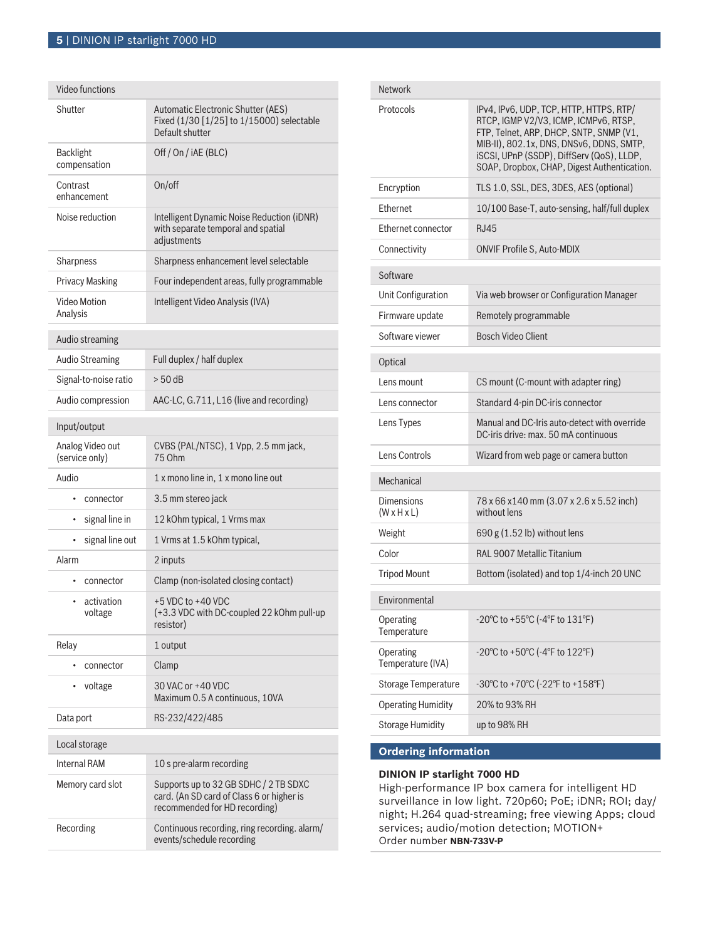| Video functions                    |                                                                                                                     |
|------------------------------------|---------------------------------------------------------------------------------------------------------------------|
| Shutter                            | Automatic Electronic Shutter (AES)<br>Fixed (1/30 [1/25] to 1/15000) selectable<br>Default shutter                  |
| <b>Backlight</b><br>compensation   | Off / On / iAE (BLC)                                                                                                |
| Contrast<br>enhancement            | On/off                                                                                                              |
| Noise reduction                    | Intelligent Dynamic Noise Reduction (iDNR)<br>with separate temporal and spatial<br>adjustments                     |
| Sharpness                          | Sharpness enhancement level selectable                                                                              |
| <b>Privacy Masking</b>             | Four independent areas, fully programmable                                                                          |
| Video Motion<br>Analysis           | Intelligent Video Analysis (IVA)                                                                                    |
| Audio streaming                    |                                                                                                                     |
| <b>Audio Streaming</b>             | Full duplex / half duplex                                                                                           |
| Signal-to-noise ratio              | $> 50$ dB                                                                                                           |
| Audio compression                  | AAC-LC, G.711, L16 (live and recording)                                                                             |
| Input/output                       |                                                                                                                     |
| Analog Video out<br>(service only) | CVBS (PAL/NTSC), 1 Vpp, 2.5 mm jack,<br>75 Ohm                                                                      |
| Audio                              | 1 x mono line in, 1 x mono line out                                                                                 |
| connector<br>$\bullet$             | 3.5 mm stereo jack                                                                                                  |
| signal line in<br>٠                | 12 kOhm typical, 1 Vrms max                                                                                         |
| signal line out<br>$\bullet$       | 1 Vrms at 1.5 kOhm typical,                                                                                         |
| Alarm                              | 2 inputs                                                                                                            |
| connector<br>$\bullet$             | Clamp (non-isolated closing contact)                                                                                |
| activation<br>$\bullet$<br>voltage | +5 VDC to +40 VDC<br>(+3.3 VDC with DC-coupled 22 kOhm pull-up<br>resistor)                                         |
| Relay                              | 1 output                                                                                                            |
| connector<br>$\bullet$             | Clamp                                                                                                               |
| voltage                            | 30 VAC or +40 VDC<br>Maximum 0.5 A continuous, 10VA                                                                 |
| Data port                          | RS-232/422/485                                                                                                      |
| Local storage                      |                                                                                                                     |
| <b>Internal RAM</b>                | 10 s pre-alarm recording                                                                                            |
| Memory card slot                   | Supports up to 32 GB SDHC / 2 TB SDXC<br>card. (An SD card of Class 6 or higher is<br>recommended for HD recording) |
| Recording                          | Continuous recording, ring recording. alarm/<br>events/schedule recording                                           |

| <b>Network</b>                               |                                                                                                                                                                                                                                                                     |  |
|----------------------------------------------|---------------------------------------------------------------------------------------------------------------------------------------------------------------------------------------------------------------------------------------------------------------------|--|
| Protocols                                    | IPv4, IPv6, UDP, TCP, HTTP, HTTPS, RTP/<br>RTCP, IGMP V2/V3, ICMP, ICMPv6, RTSP,<br>FTP, Telnet, ARP, DHCP, SNTP, SNMP (V1,<br>MIB-II), 802.1x, DNS, DNSv6, DDNS, SMTP,<br>iSCSI, UPnP (SSDP), DiffServ (QoS), LLDP,<br>SOAP, Dropbox, CHAP, Digest Authentication. |  |
| Encryption                                   | TLS 1.0, SSL, DES, 3DES, AES (optional)                                                                                                                                                                                                                             |  |
| Ethernet                                     | 10/100 Base-T, auto-sensing, half/full duplex                                                                                                                                                                                                                       |  |
| Ethernet connector                           | RJ45                                                                                                                                                                                                                                                                |  |
| Connectivity                                 | <b>ONVIF Profile S, Auto-MDIX</b>                                                                                                                                                                                                                                   |  |
| Software                                     |                                                                                                                                                                                                                                                                     |  |
| Unit Configuration                           | Via web browser or Configuration Manager                                                                                                                                                                                                                            |  |
| Firmware update                              | Remotely programmable                                                                                                                                                                                                                                               |  |
| Software viewer                              | <b>Bosch Video Client</b>                                                                                                                                                                                                                                           |  |
| Optical                                      |                                                                                                                                                                                                                                                                     |  |
| Lens mount                                   | CS mount (C-mount with adapter ring)                                                                                                                                                                                                                                |  |
| Lens connector                               | Standard 4-pin DC-iris connector                                                                                                                                                                                                                                    |  |
| Lens Types                                   | Manual and DC-Iris auto-detect with override<br>DC-iris drive: max, 50 mA continuous                                                                                                                                                                                |  |
| Lens Controls                                | Wizard from web page or camera button                                                                                                                                                                                                                               |  |
| Mechanical                                   |                                                                                                                                                                                                                                                                     |  |
| <b>Dimensions</b><br>$(W \times H \times L)$ | 78 x 66 x 140 mm (3.07 x 2.6 x 5.52 inch)<br>without lens                                                                                                                                                                                                           |  |
| Weight                                       | 690 g $(1.52 \text{ lb})$ without lens                                                                                                                                                                                                                              |  |
| Color                                        | RAL 9007 Metallic Titanium                                                                                                                                                                                                                                          |  |
| <b>Tripod Mount</b>                          | Bottom (isolated) and top 1/4-inch 20 UNC                                                                                                                                                                                                                           |  |
| Environmental                                |                                                                                                                                                                                                                                                                     |  |
| Operating<br>Temperature                     | $-20^{\circ}$ C to $+55^{\circ}$ C ( $-4^{\circ}$ F to $131^{\circ}$ F)                                                                                                                                                                                             |  |
| Operating<br>Temperature (IVA)               | $-20^{\circ}$ C to $+50^{\circ}$ C ( $-4^{\circ}$ F to $122^{\circ}$ F)                                                                                                                                                                                             |  |
| <b>Storage Temperature</b>                   | -30°C to +70°C (-22°F to +158°F)                                                                                                                                                                                                                                    |  |
| <b>Operating Humidity</b>                    | 20% to 93% RH                                                                                                                                                                                                                                                       |  |
| <b>Storage Humidity</b>                      | up to 98% RH                                                                                                                                                                                                                                                        |  |

## **Ordering information**

## **DINION IP starlight 7000 HD**

High-performance IP box camera for intelligent HD surveillance in low light. 720p60; PoE; iDNR; ROI; day/ night; H.264 quad-streaming; free viewing Apps; cloud services; audio/motion detection; MOTION+ Order number **NBN-733V-P**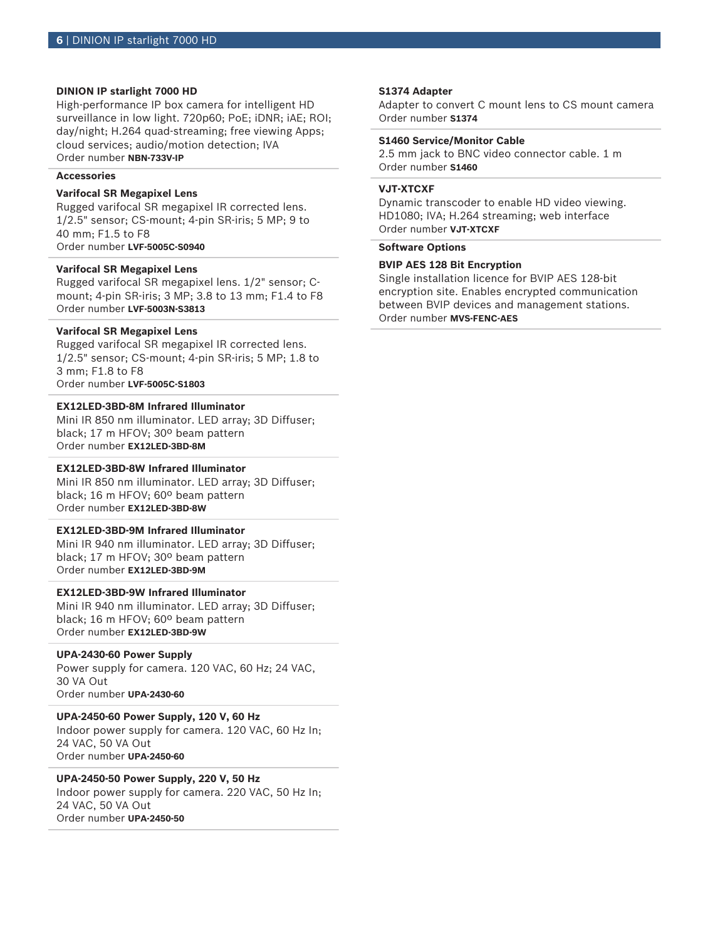## **DINION IP starlight 7000 HD**

High-performance IP box camera for intelligent HD surveillance in low light. 720p60; PoE; iDNR; iAE; ROI; day/night; H.264 quad-streaming; free viewing Apps; cloud services; audio/motion detection; IVA Order number **NBN-733V-IP**

## **Accessories**

## **Varifocal SR Megapixel Lens**

Rugged varifocal SR megapixel IR corrected lens. 1/2.5" sensor; CS-mount; 4-pin SR-iris; 5 MP; 9 to 40 mm; F1.5 to F8 Order number **LVF-5005C-S0940**

## **Varifocal SR Megapixel Lens**

Rugged varifocal SR megapixel lens. 1/2" sensor; Cmount; 4-pin SR-iris; 3 MP; 3.8 to 13 mm; F1.4 to F8 Order number **LVF-5003N-S3813**

## **Varifocal SR Megapixel Lens**

Rugged varifocal SR megapixel IR corrected lens. 1/2.5" sensor; CS-mount; 4-pin SR-iris; 5 MP; 1.8 to 3 mm; F1.8 to F8 Order number **LVF-5005C-S1803**

## **EX12LED‑3BD‑8M Infrared Illuminator**

Mini IR 850 nm illuminator. LED array; 3D Diffuser; black; 17 m HFOV; 30º beam pattern Order number **EX12LED-3BD-8M**

## **EX12LED‑3BD‑8W Infrared Illuminator**

Mini IR 850 nm illuminator. LED array; 3D Diffuser; black; 16 m HFOV; 60º beam pattern Order number **EX12LED-3BD-8W**

## **EX12LED‑3BD‑9M Infrared Illuminator**

Mini IR 940 nm illuminator. LED array; 3D Diffuser; black; 17 m HFOV; 30º beam pattern Order number **EX12LED-3BD-9M**

## **EX12LED‑3BD‑9W Infrared Illuminator**

Mini IR 940 nm illuminator. LED array; 3D Diffuser; black; 16 m HFOV; 60º beam pattern Order number **EX12LED-3BD-9W**

## **UPA-2430-60 Power Supply**

Power supply for camera. 120 VAC, 60 Hz; 24 VAC, 30 VA Out Order number **UPA-2430-60**

### **UPA-2450-60 Power Supply, 120 V, 60 Hz**

Indoor power supply for camera. 120 VAC, 60 Hz In; 24 VAC, 50 VA Out Order number **UPA-2450-60**

## **UPA-2450-50 Power Supply, 220 V, 50 Hz**

Indoor power supply for camera. 220 VAC, 50 Hz In; 24 VAC, 50 VA Out Order number **UPA-2450-50**

## **S1374 Adapter**

Adapter to convert C mount lens to CS mount camera Order number **S1374**

## **S1460 Service/Monitor Cable**

2.5 mm jack to BNC video connector cable. 1 m Order number **S1460**

## **VJT-XTCXF**

Dynamic transcoder to enable HD video viewing. HD1080; IVA; H.264 streaming; web interface Order number **VJT-XTCXF**

## **Software Options**

## **BVIP AES 128 Bit Encryption**

Single installation licence for BVIP AES 128‑bit encryption site. Enables encrypted communication between BVIP devices and management stations. Order number **MVS-FENC-AES**